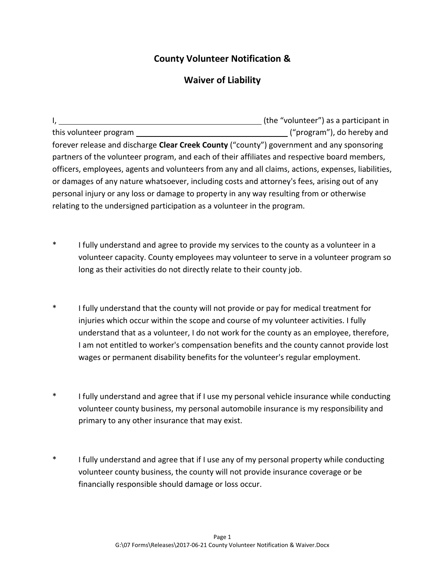## **County Volunteer Notification &**

## **Waiver of Liability**

|                                                                                                     | (the "volunteer") as a participant in |  |
|-----------------------------------------------------------------------------------------------------|---------------------------------------|--|
| this volunteer program                                                                              | ("program"), do hereby and            |  |
| forever release and discharge Clear Creek County ("county") government and any sponsoring           |                                       |  |
| partners of the volunteer program, and each of their affiliates and respective board members,       |                                       |  |
| officers, employees, agents and volunteers from any and all claims, actions, expenses, liabilities, |                                       |  |
| or damages of any nature whatsoever, including costs and attorney's fees, arising out of any        |                                       |  |
| personal injury or any loss or damage to property in any way resulting from or otherwise            |                                       |  |
| relating to the undersigned participation as a volunteer in the program.                            |                                       |  |

- \* I fully understand and agree to provide my services to the county as a volunteer in a volunteer capacity. County employees may volunteer to serve in a volunteer program so long as their activities do not directly relate to their county job.
- \* I fully understand that the county will not provide or pay for medical treatment for injuries which occur within the scope and course of my volunteer activities. I fully understand that as a volunteer, I do not work for the county as an employee, therefore, I am not entitled to worker's compensation benefits and the county cannot provide lost wages or permanent disability benefits for the volunteer's regular employment.
- \* I fully understand and agree that if I use my personal vehicle insurance while conducting volunteer county business, my personal automobile insurance is my responsibility and primary to any other insurance that may exist.
- \* I fully understand and agree that if I use any of my personal property while conducting volunteer county business, the county will not provide insurance coverage or be financially responsible should damage or loss occur.